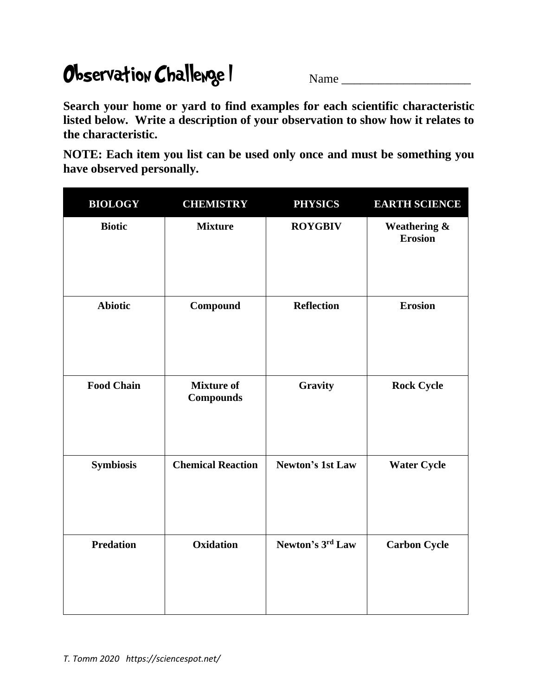## Observation Challenge 1 Name

**Search your home or yard to find examples for each scientific characteristic listed below. Write a description of your observation to show how it relates to the characteristic.** 

**NOTE: Each item you list can be used only once and must be something you have observed personally.**

| <b>BIOLOGY</b>    | <b>CHEMISTRY</b>                      | <b>PHYSICS</b>          | <b>EARTH SCIENCE</b>                      |
|-------------------|---------------------------------------|-------------------------|-------------------------------------------|
| <b>Biotic</b>     | <b>Mixture</b>                        | <b>ROYGBIV</b>          | <b>Weathering &amp;</b><br><b>Erosion</b> |
| <b>Abiotic</b>    | Compound                              | <b>Reflection</b>       | <b>Erosion</b>                            |
| <b>Food Chain</b> | <b>Mixture of</b><br><b>Compounds</b> | Gravity                 | <b>Rock Cycle</b>                         |
| <b>Symbiosis</b>  | <b>Chemical Reaction</b>              | <b>Newton's 1st Law</b> | <b>Water Cycle</b>                        |
| <b>Predation</b>  | <b>Oxidation</b>                      | Newton's 3rd Law        | <b>Carbon Cycle</b>                       |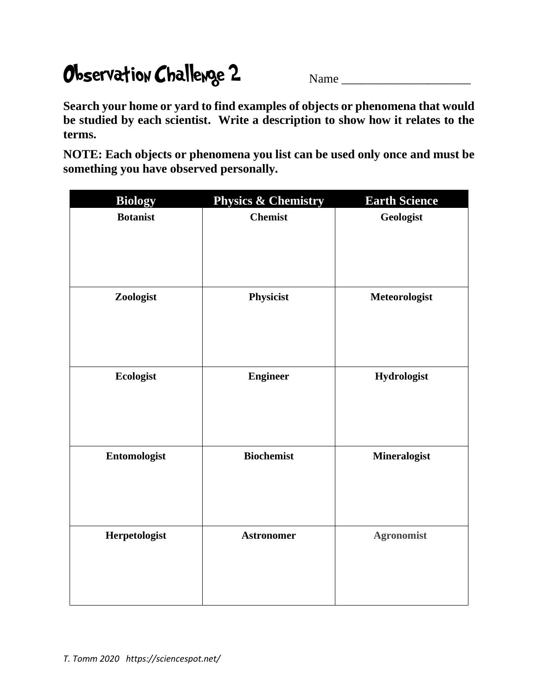## Observation Challenge 2 Name

**Search your home or yard to find examples of objects or phenomena that would be studied by each scientist. Write a description to show how it relates to the terms.**

**NOTE: Each objects or phenomena you list can be used only once and must be something you have observed personally.**

| <b>Biology</b>   | <b>Physics &amp; Chemistry</b> | <b>Earth Science</b> |
|------------------|--------------------------------|----------------------|
| <b>Botanist</b>  | <b>Chemist</b>                 | Geologist            |
| Zoologist        | Physicist                      | Meteorologist        |
| <b>Ecologist</b> | <b>Engineer</b>                | Hydrologist          |
| Entomologist     | <b>Biochemist</b>              | <b>Mineralogist</b>  |
| Herpetologist    | <b>Astronomer</b>              | <b>Agronomist</b>    |